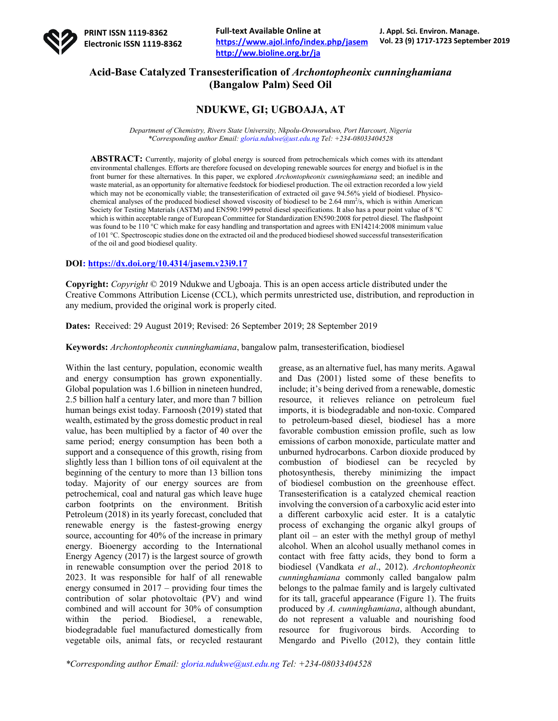

# **Acid-Base Catalyzed Transesterification of** *Archontopheonix cunninghamiana* **(Bangalow Palm) Seed Oil**

# **NDUKWE, GI; UGBOAJA, AT**

*Department of Chemistry, Rivers State University, Nkpolu-Oroworukwo, Port Harcourt, Nigeria \*Corresponding author Email: gloria.ndukwe@ust.edu.ng Tel: +234-08033404528*

**ABSTRACT:** Currently, majority of global energy is sourced from petrochemicals which comes with its attendant environmental challenges. Efforts are therefore focused on developing renewable sources for energy and biofuel is in the front burner for these alternatives. In this paper, we explored *Archontopheonix cunninghamiana* seed; an inedible and waste material, as an opportunity for alternative feedstock for biodiesel production. The oil extraction recorded a low yield which may not be economically viable; the transesterification of extracted oil gave 94.56% yield of biodiesel. Physicochemical analyses of the produced biodiesel showed viscosity of biodiesel to be 2.64 mm<sup>2</sup>/s, which is within American Society for Testing Materials (ASTM) and EN590:1999 petrol diesel specifications. It also has a pour point value of 8 °C which is within acceptable range of European Committee for Standardization EN590:2008 for petrol diesel. The flashpoint was found to be 110 °C which make for easy handling and transportation and agrees with EN14214:2008 minimum value of 101 °C. Spectroscopic studies done on the extracted oil and the produced biodiesel showed successful transesterification of the oil and good biodiesel quality.

### **DOI: https://dx.doi.org/10.4314/jasem.v23i9.17**

**Copyright:** *Copyright* © 2019 Ndukwe and Ugboaja. This is an open access article distributed under the Creative Commons Attribution License (CCL), which permits unrestricted use, distribution, and reproduction in any medium, provided the original work is properly cited.

**Dates:** Received: 29 August 2019; Revised: 26 September 2019; 28 September 2019

**Keywords:** *Archontopheonix cunninghamiana*, bangalow palm, transesterification, biodiesel

Within the last century, population, economic wealth and energy consumption has grown exponentially. Global population was 1.6 billion in nineteen hundred, 2.5 billion half a century later, and more than 7 billion human beings exist today. Farnoosh (2019) stated that wealth, estimated by the gross domestic product in real value, has been multiplied by a factor of 40 over the same period; energy consumption has been both a support and a consequence of this growth, rising from slightly less than 1 billion tons of oil equivalent at the beginning of the century to more than 13 billion tons today. Majority of our energy sources are from petrochemical, coal and natural gas which leave huge carbon footprints on the environment. British Petroleum (2018) in its yearly forecast, concluded that renewable energy is the fastest-growing energy source, accounting for 40% of the increase in primary energy. Bioenergy according to the International Energy Agency (2017) is the largest source of growth in renewable consumption over the period 2018 to 2023. It was responsible for half of all renewable energy consumed in 2017 – providing four times the contribution of solar photovoltaic (PV) and wind combined and will account for 30% of consumption within the period. Biodiesel, a renewable, biodegradable fuel manufactured domestically from vegetable oils, animal fats, or recycled restaurant

grease, as an alternative fuel, has many merits. Agawal and Das (2001) listed some of these benefits to include; it's being derived from a renewable, domestic resource, it relieves reliance on petroleum fuel imports, it is biodegradable and non-toxic. Compared to petroleum-based diesel, biodiesel has a more favorable combustion emission profile, such as low emissions of carbon monoxide, particulate matter and unburned hydrocarbons. Carbon dioxide produced by combustion of biodiesel can be recycled by photosynthesis, thereby minimizing the impact of biodiesel combustion on the greenhouse effect. Transesterification is a catalyzed chemical reaction involving the conversion of a carboxylic acid ester into a different carboxylic acid ester. It is a catalytic process of exchanging the organic alkyl groups of plant oil – an ester with the methyl group of methyl alcohol. When an alcohol usually methanol comes in contact with free fatty acids, they bond to form a biodiesel (Vandkata *et al*., 2012). *Archontopheonix cunninghamiana* commonly called bangalow palm belongs to the palmae family and is largely cultivated for its tall, graceful appearance (Figure 1). The fruits produced by *A. cunninghamiana*, although abundant, do not represent a valuable and nourishing food resource for frugivorous birds. According to Mengardo and Pivello (2012), they contain little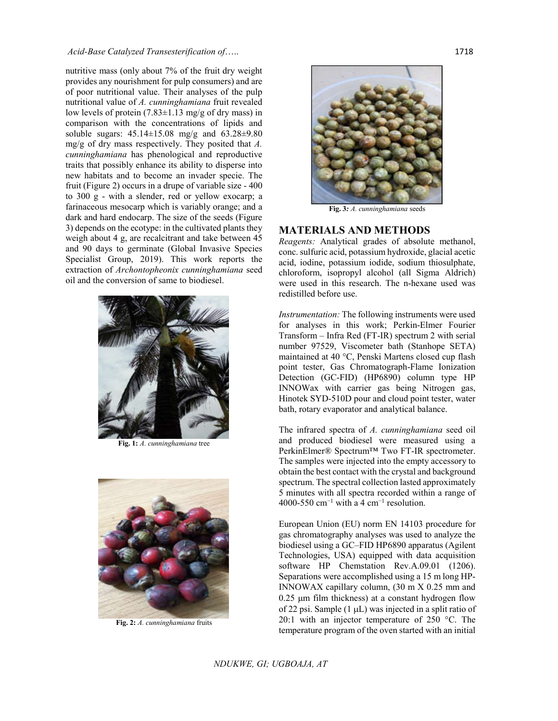#### *Acid-Base Catalyzed Transesterification of*….. 1718

nutritive mass (only about 7% of the fruit dry weight provides any nourishment for pulp consumers) and are of poor nutritional value. Their analyses of the pulp nutritional value of *A. cunninghamiana* fruit revealed low levels of protein  $(7.83\pm1.13 \text{ mg/g of dry mass})$  in comparison with the concentrations of lipids and soluble sugars: 45.14±15.08 mg/g and 63.28±9.80 mg/g of dry mass respectively. They posited that *A. cunninghamiana* has phenological and reproductive traits that possibly enhance its ability to disperse into new habitats and to become an invader specie. The fruit (Figure 2) occurs in a drupe of variable size - 400 to 300 g - with a slender, red or yellow exocarp; a farinaceous mesocarp which is variably orange; and a dark and hard endocarp. The size of the seeds (Figure 3) depends on the ecotype: in the cultivated plants they weigh about 4 g, are recalcitrant and take between 45 and 90 days to germinate (Global Invasive Species Specialist Group, 2019). This work reports the extraction of *Archontopheonix cunninghamiana* seed oil and the conversion of same to biodiesel.



**Fig. 1:** *A. cunninghamiana* tree



**Fig. 2:** *A. cunninghamiana* fruits



**Fig. 3***: A. cunninghamiana* seeds

### **MATERIALS AND METHODS**

*Reagents:* Analytical grades of absolute methanol, conc. sulfuric acid, potassium hydroxide, glacial acetic acid, iodine, potassium iodide, sodium thiosulphate, chloroform, isopropyl alcohol (all Sigma Aldrich) were used in this research. The n-hexane used was redistilled before use.

*Instrumentation:* The following instruments were used for analyses in this work; Perkin-Elmer Fourier Transform – Infra Red (FT-IR) spectrum 2 with serial number 97529, Viscometer bath (Stanhope SETA) maintained at 40 °C, Penski Martens closed cup flash point tester, Gas Chromatograph-Flame Ionization Detection (GC-FID) (HP6890) column type HP INNOWax with carrier gas being Nitrogen gas, Hinotek SYD-510D pour and cloud point tester, water bath, rotary evaporator and analytical balance.

The infrared spectra of *A. cunninghamiana* seed oil and produced biodiesel were measured using a PerkinElmer® Spectrum™ Two FT-IR spectrometer. The samples were injected into the empty accessory to obtain the best contact with the crystal and background spectrum. The spectral collection lasted approximately 5 minutes with all spectra recorded within a range of 4000-550 cm<sup>-1</sup> with a 4 cm<sup>-1</sup> resolution.

European Union (EU) norm EN 14103 procedure for gas chromatography analyses was used to analyze the biodiesel using a GC–FID HP6890 apparatus (Agilent Technologies, USA) equipped with data acquisition software HP Chemstation Rev.A.09.01 (1206). Separations were accomplished using a 15 m long HP-INNOWAX capillary column, (30 m X 0.25 mm and  $0.25$  µm film thickness) at a constant hydrogen flow of 22 psi. Sample  $(1 \mu L)$  was injected in a split ratio of 20:1 with an injector temperature of 250 °C. The temperature program of the oven started with an initial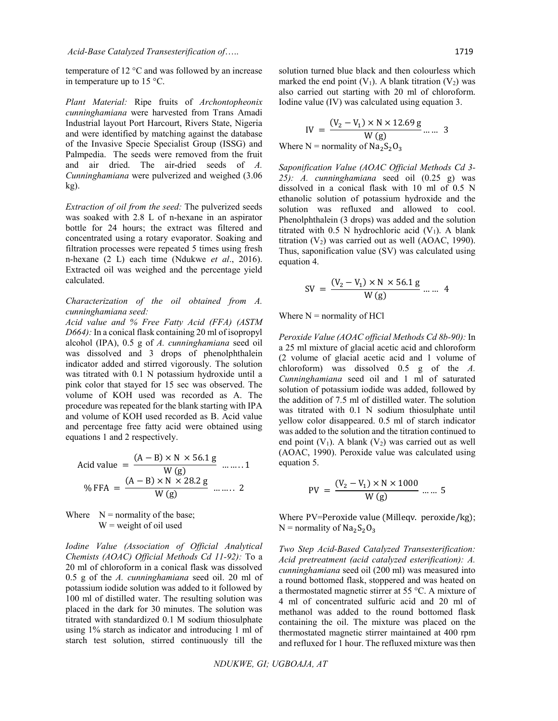temperature of 12 °C and was followed by an increase in temperature up to 15 °C.

*Plant Material:* Ripe fruits of *Archontopheonix cunninghamiana* were harvested from Trans Amadi Industrial layout Port Harcourt, Rivers State, Nigeria and were identified by matching against the database of the Invasive Specie Specialist Group (ISSG) and Palmpedia. The seeds were removed from the fruit and air dried. The air-dried seeds of *A. Cunninghamiana* were pulverized and weighed (3.06 kg).

*Extraction of oil from the seed:* The pulverized seeds was soaked with 2.8 L of n-hexane in an aspirator bottle for 24 hours; the extract was filtered and concentrated using a rotary evaporator. Soaking and filtration processes were repeated 5 times using fresh n-hexane (2 L) each time (Ndukwe *et al*., 2016). Extracted oil was weighed and the percentage yield calculated.

## *Characterization of the oil obtained from A. cunninghamiana seed:*

*Acid value and % Free Fatty Acid (FFA) (ASTM D664):* In a conical flask containing 20 ml of isopropyl alcohol (IPA), 0.5 g of *A. cunninghamiana* seed oil was dissolved and 3 drops of phenolphthalein indicator added and stirred vigorously. The solution was titrated with 0.1 N potassium hydroxide until a pink color that stayed for 15 sec was observed. The volume of KOH used was recorded as A. The procedure was repeated for the blank starting with IPA and volume of KOH used recorded as B. Acid value and percentage free fatty acid were obtained using equations 1 and 2 respectively.

$$
\text{Acid value} = \frac{(A - B) \times N \times 56.1 \text{ g}}{W \text{ (g)}} \quad \dots \dots 1
$$
\n
$$
\% \text{ FFA} = \frac{(A - B) \times N \times 28.2 \text{ g}}{W \text{ (g)}} \quad \dots \dots 2
$$

Where  $N =$  normality of the base;  $W$  = weight of oil used

*Iodine Value (Association of Official Analytical Chemists (AOAC) Official Methods Cd 11-92):* To a 20 ml of chloroform in a conical flask was dissolved 0.5 g of the *A. cunninghamiana* seed oil. 20 ml of potassium iodide solution was added to it followed by 100 ml of distilled water. The resulting solution was placed in the dark for 30 minutes. The solution was titrated with standardized 0.1 M sodium thiosulphate using 1% starch as indicator and introducing 1 ml of starch test solution, stirred continuously till the

solution turned blue black and then colourless which marked the end point  $(V_1)$ . A blank titration  $(V_2)$  was also carried out starting with 20 ml of chloroform. Iodine value (IV) was calculated using equation 3.

$$
IV = \frac{(V_2 - V_1) \times N \times 12.69 \text{ g}}{W \text{ (g)}} \dots \dots \text{ 3}
$$
  
Where N = normality of Na<sub>2</sub>S<sub>2</sub>O<sub>3</sub>

*Saponification Value (AOAC Official Methods Cd 3- 25): A. cunninghamiana* seed oil (0.25 g) was dissolved in a conical flask with 10 ml of 0.5 N ethanolic solution of potassium hydroxide and the solution was refluxed and allowed to cool. Phenolphthalein (3 drops) was added and the solution titrated with  $0.5$  N hydrochloric acid  $(V_1)$ . A blank titration  $(V_2)$  was carried out as well (AOAC, 1990). Thus, saponification value (SV) was calculated using equation 4.

$$
SV = \frac{(V_2 - V_1) \times N \times 56.1 \text{ g}}{W \text{ (g)}} \dots m 4
$$

Where  $N =$  normality of HCl

*Peroxide Value (AOAC official Methods Cd 8b-90):* In a 25 ml mixture of glacial acetic acid and chloroform (2 volume of glacial acetic acid and 1 volume of chloroform) was dissolved 0.5 g of the *A. Cunninghamiana* seed oil and 1 ml of saturated solution of potassium iodide was added, followed by the addition of 7.5 ml of distilled water. The solution was titrated with 0.1 N sodium thiosulphate until yellow color disappeared. 0.5 ml of starch indicator was added to the solution and the titration continued to end point  $(V_1)$ . A blank  $(V_2)$  was carried out as well (AOAC, 1990). Peroxide value was calculated using equation 5.

$$
PV = \frac{(V_2 - V_1) \times N \times 1000}{W (g)} \dots .5
$$

Where PV=Peroxide value (Milleqv. peroxide/kg);  $N =$  normality of  $Na<sub>2</sub>S<sub>2</sub>O<sub>3</sub>$ 

*Two Step Acid-Based Catalyzed Transesterification: Acid pretreatment (acid catalyzed esterification): A. cunninghamiana* seed oil (200 ml) was measured into a round bottomed flask, stoppered and was heated on a thermostated magnetic stirrer at 55 °C. A mixture of 4 ml of concentrated sulfuric acid and 20 ml of methanol was added to the round bottomed flask containing the oil. The mixture was placed on the thermostated magnetic stirrer maintained at 400 rpm and refluxed for 1 hour. The refluxed mixture was then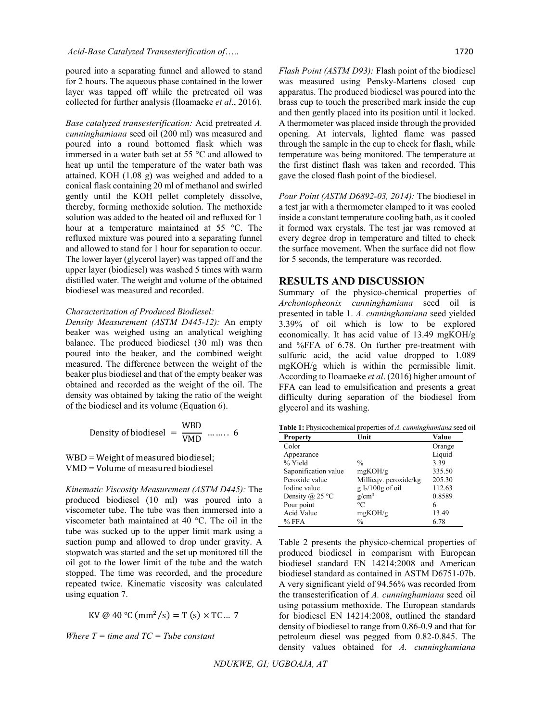poured into a separating funnel and allowed to stand for 2 hours. The aqueous phase contained in the lower layer was tapped off while the pretreated oil was collected for further analysis (Iloamaeke *et al*., 2016).

*Base catalyzed transesterification:* Acid pretreated *A. cunninghamiana* seed oil (200 ml) was measured and poured into a round bottomed flask which was immersed in a water bath set at 55 °C and allowed to heat up until the temperature of the water bath was attained. KOH (1.08 g) was weighed and added to a conical flask containing 20 ml of methanol and swirled gently until the KOH pellet completely dissolve, thereby, forming methoxide solution. The methoxide solution was added to the heated oil and refluxed for 1 hour at a temperature maintained at 55 °C. The refluxed mixture was poured into a separating funnel and allowed to stand for 1 hour for separation to occur. The lower layer (glycerol layer) was tapped off and the upper layer (biodiesel) was washed 5 times with warm distilled water. The weight and volume of the obtained biodiesel was measured and recorded.

#### *Characterization of Produced Biodiesel:*

*Density Measurement (ASTM D445-12):* An empty beaker was weighed using an analytical weighing balance. The produced biodiesel (30 ml) was then poured into the beaker, and the combined weight measured. The difference between the weight of the beaker plus biodiesel and that of the empty beaker was obtained and recorded as the weight of the oil. The density was obtained by taking the ratio of the weight of the biodiesel and its volume (Equation 6).

Density of biological = 
$$
\frac{\text{WBD}}{\text{VMD}}
$$
 ....... 6

WBD = Weight of measured biodiesel; VMD = Volume of measured biodiesel

*Kinematic Viscosity Measurement (ASTM D445):* The produced biodiesel (10 ml) was poured into a viscometer tube. The tube was then immersed into a viscometer bath maintained at 40 °C. The oil in the tube was sucked up to the upper limit mark using a suction pump and allowed to drop under gravity. A stopwatch was started and the set up monitored till the oil got to the lower limit of the tube and the watch stopped. The time was recorded, and the procedure repeated twice. Kinematic viscosity was calculated using equation 7.

$$
KV @ 40 °C (mm2/s) = T (s) × TC ... 7
$$

*Where T = time and TC = Tube constant*

*Flash Point (ASTM D93):* Flash point of the biodiesel was measured using Pensky-Martens closed cup apparatus. The produced biodiesel was poured into the brass cup to touch the prescribed mark inside the cup and then gently placed into its position until it locked. A thermometer was placed inside through the provided opening. At intervals, lighted flame was passed through the sample in the cup to check for flash, while temperature was being monitored. The temperature at the first distinct flash was taken and recorded. This gave the closed flash point of the biodiesel.

*Pour Point (ASTM D6892-03, 2014):* The biodiesel in a test jar with a thermometer clamped to it was cooled inside a constant temperature cooling bath, as it cooled it formed wax crystals. The test jar was removed at every degree drop in temperature and tilted to check the surface movement. When the surface did not flow for 5 seconds, the temperature was recorded.

### **RESULTS AND DISCUSSION**

Summary of the physico-chemical properties of *Archontopheonix cunninghamiana* seed oil is presented in table 1. *A. cunninghamiana* seed yielded 3.39% of oil which is low to be explored economically. It has acid value of 13.49 mgKOH/g and %FFA of 6.78. On further pre-treatment with sulfuric acid, the acid value dropped to 1.089 mgKOH/g which is within the permissible limit. According to Iloamaeke *et al*. (2016) higher amount of FFA can lead to emulsification and presents a great difficulty during separation of the biodiesel from glycerol and its washing.

**Table 1:** Physicochemical properties of *A. cunninghamiana* seed oil

| <b>Property</b>      | Unit                  | Value  |
|----------------------|-----------------------|--------|
| Color                |                       | Orange |
| Appearance           |                       | Liquid |
| % Yield              | $\frac{0}{0}$         | 3.39   |
| Saponification value | mgKOH/g               | 335.50 |
| Peroxide value       | Millieqv. peroxide/kg | 205.30 |
| Iodine value         | $g I_2/100g$ of oil   | 112.63 |
| Density @ 25 °C      | $g/cm^3$              | 0.8589 |
| Pour point           | $^{\circ}C$           | 6      |
| Acid Value           | mgKOH/g               | 13.49  |
| $%$ FFA              | $\frac{0}{0}$         | 6.78   |

Table 2 presents the physico-chemical properties of produced biodiesel in comparism with European biodiesel standard EN 14214:2008 and American biodiesel standard as contained in ASTM D6751-07b. A very significant yield of 94.56% was recorded from the transesterification of *A. cunninghamiana* seed oil using potassium methoxide. The European standards for biodiesel EN 14214:2008, outlined the standard density of biodiesel to range from 0.86-0.9 and that for petroleum diesel was pegged from 0.82-0.845. The density values obtained for *A. cunninghamiana*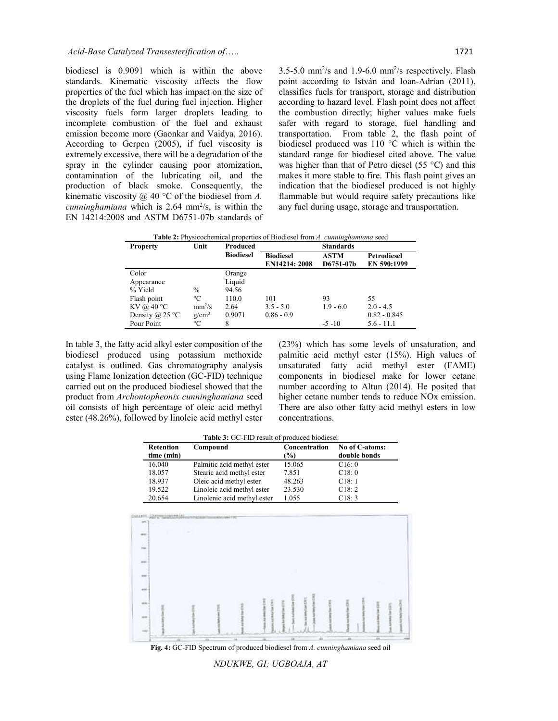biodiesel is 0.9091 which is within the above standards. Kinematic viscosity affects the flow properties of the fuel which has impact on the size of the droplets of the fuel during fuel injection. Higher viscosity fuels form larger droplets leading to incomplete combustion of the fuel and exhaust emission become more (Gaonkar and Vaidya, 2016). According to Gerpen (2005), if fuel viscosity is extremely excessive, there will be a degradation of the spray in the cylinder causing poor atomization, contamination of the lubricating oil, and the production of black smoke. Consequently, the kinematic viscosity @ 40 °C of the biodiesel from *A.* cunninghamiana which is 2.64 mm<sup>2</sup>/s, is within the EN 14214:2008 and ASTM D6751-07b standards of

 $3.5-5.0$  mm<sup>2</sup>/s and  $1.9-6.0$  mm<sup>2</sup>/s respectively. Flash point according to István and Ioan-Adrian (2011), classifies fuels for transport, storage and distribution according to hazard level. Flash point does not affect the combustion directly; higher values make fuels safer with regard to storage, fuel handling and transportation. From table 2, the flash point of biodiesel produced was 110 °C which is within the standard range for biodiesel cited above. The value was higher than that of Petro diesel (55 °C) and this makes it more stable to fire. This flash point gives an indication that the biodiesel produced is not highly flammable but would require safety precautions like any fuel during usage, storage and transportation.

**Table 2:** Physicochemical properties of Biodiesel from *A. cunninghamiana* seed

| <b>Property</b>     | Unit            | <b>Produced</b>  | <b>Standards</b>                  |                          |                            |
|---------------------|-----------------|------------------|-----------------------------------|--------------------------|----------------------------|
|                     |                 | <b>Biodiesel</b> | <b>Biodiesel</b><br>EN14214: 2008 | <b>ASTM</b><br>D6751-07b | Petrodiesel<br>EN 590:1999 |
| Color               |                 | Orange           |                                   |                          |                            |
| Appearance          |                 | Liquid           |                                   |                          |                            |
| % Yield             | $\frac{0}{0}$   | 94.56            |                                   |                          |                            |
| Flash point         | $\rm ^{\circ}C$ | 110.0            | 101                               | 93                       | 55                         |
| KV @ $40^{\circ}$ C | $mm^2/s$        | 2.64             | $3.5 - 5.0$                       | $1.9 - 6.0$              | $2.0 - 4.5$                |
| Density @ 25 °C     | $g/cm^3$        | 0.9071           | $0.86 - 0.9$                      |                          | $0.82 - 0.845$             |
| Pour Point          | °C              | 8                |                                   | $-5 - 10$                | $5.6 - 11.1$               |

In table 3, the fatty acid alkyl ester composition of the biodiesel produced using potassium methoxide catalyst is outlined. Gas chromatography analysis using Flame Ionization detection (GC-FID) technique carried out on the produced biodiesel showed that the product from *Archontopheonix cunninghamiana* seed oil consists of high percentage of oleic acid methyl ester (48.26%), followed by linoleic acid methyl ester (23%) which has some levels of unsaturation, and palmitic acid methyl ester (15%). High values of unsaturated fatty acid methyl ester (FAME) components in biodiesel make for lower cetane number according to Altun (2014). He posited that higher cetane number tends to reduce NOx emission. There are also other fatty acid methyl esters in low concentrations.

| Table 3: GC-FID result of produced biodiesel |                             |                         |                                |  |  |  |
|----------------------------------------------|-----------------------------|-------------------------|--------------------------------|--|--|--|
| <b>Retention</b><br>time (min)               | Compound                    | Concentration<br>$(\%)$ | No of C-atoms:<br>double bonds |  |  |  |
| 16.040                                       | Palmitic acid methyl ester  | 15.065                  | C16:0                          |  |  |  |
| 18.057                                       | Stearic acid methyl ester   | 7.851                   | C18:0                          |  |  |  |
| 18.937                                       | Oleic acid methyl ester     | 48.263                  | C18:1                          |  |  |  |
| 19.522                                       | Linoleic acid methyl ester  | 23.530                  | C18:2                          |  |  |  |
| 20.654                                       | Linolenic acid methyl ester | 1.055                   | C18:3                          |  |  |  |



**Fig. 4:** GC-FID Spectrum of produced biodiesel from *A. cunninghamiana* seed oil

*NDUKWE, GI; UGBOAJA, AT*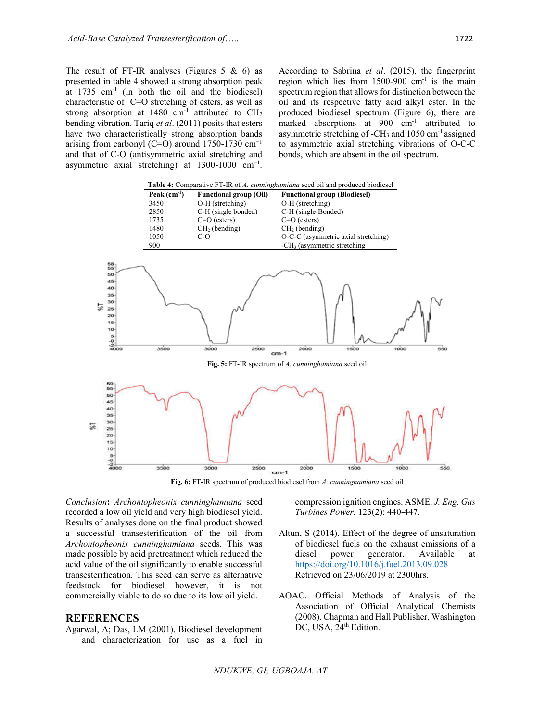The result of FT-IR analyses (Figures  $5 \& 6$ ) as presented in table 4 showed a strong absorption peak at  $1735 \text{ cm}^{-1}$  (in both the oil and the biodiesel) characteristic of C=O stretching of esters, as well as strong absorption at 1480 cm<sup>-1</sup> attributed to  $CH<sub>2</sub>$ bending vibration. Tariq *et al*. (2011) posits that esters have two characteristically strong absorption bands arising from carbonyl (C=O) around 1750-1730 cm<sup>-1</sup> and that of C-O (antisymmetric axial stretching and asymmetric axial stretching) at  $1300-1000$  cm<sup>-1</sup>.

According to Sabrina *et al*. (2015), the fingerprint region which lies from  $1500-900$  cm<sup>-1</sup> is the main spectrum region that allows for distinction between the oil and its respective fatty acid alkyl ester. In the produced biodiesel spectrum (Figure 6), there are marked absorptions at 900 cm<sup>-1</sup> attributed to asymmetric stretching of -CH<sub>3</sub> and  $1050 \text{ cm}$ <sup>-1</sup> assigned to asymmetric axial stretching vibrations of O-C-C bonds, which are absent in the oil spectrum.





*Conclusion***:** *Archontopheonix cunninghamiana* seed recorded a low oil yield and very high biodiesel yield. Results of analyses done on the final product showed a successful transesterification of the oil from *Archontopheonix cunninghamiana* seeds. This was made possible by acid pretreatment which reduced the acid value of the oil significantly to enable successful transesterification. This seed can serve as alternative feedstock for biodiesel however, it is not commercially viable to do so due to its low oil yield.

#### **REFERENCES**

Agarwal, A; Das, LM (2001). Biodiesel development and characterization for use as a fuel in compression ignition engines. ASME. *J. Eng. Gas Turbines Power.* 123(2): 440-447.

- Altun, S (2014). Effect of the degree of unsaturation of biodiesel fuels on the exhaust emissions of a diesel power generator. Available at https://doi.org/10.1016/j.fuel.2013.09.028 Retrieved on 23/06/2019 at 2300hrs.
- AOAC. Official Methods of Analysis of the Association of Official Analytical Chemists (2008). Chapman and Hall Publisher, Washington DC, USA, 24<sup>th</sup> Edition.